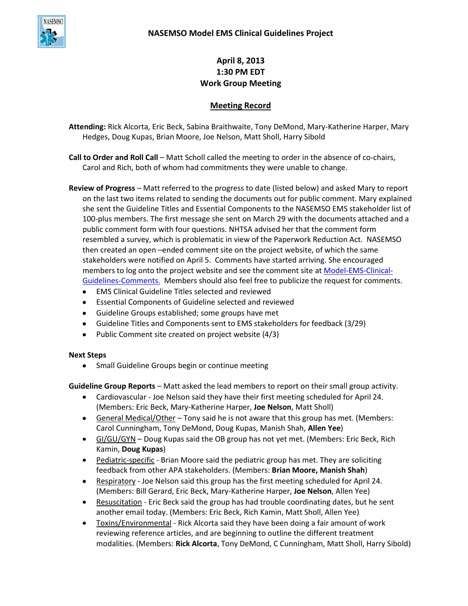

## **April 8, 2013 1:30 PM EDT Work Group Meeting**

## **Meeting Record**

**Attending:** Rick Alcorta, Eric Beck, Sabina Braithwaite, Tony DeMond, Mary-Katherine Harper, Mary Hedges, Doug Kupas, Brian Moore, Joe Nelson, Matt Sholl, Harry Sibold

**Call to Order and Roll Call** – Matt Scholl called the meeting to order in the absence of co-chairs, Carol and Rich, both of whom had commitments they were unable to change.

**Review of Progress** – Matt referred to the progress to date (listed below) and asked Mary to report on the last two items related to sending the documents out for public comment. Mary explained she sent the Guideline Titles and Essential Components to the NASEMSO EMS stakeholder list of 100-plus members. The first message she sent on March 29 with the documents attached and a public comment form with four questions. NHTSA advised her that the comment form resembled a survey, which is problematic in view of the Paperwork Reduction Act. NASEMSO then created an open –ended comment site on the project website, of which the same stakeholders were notified on April 5. Comments have started arriving. She encouraged members to log onto the project website and see the comment site at [Model-EMS-Clinical-](https://www.nasemso.org/Model-EMS-Clinical-Guidelines-Comments.htm)[Guidelines-Comments.](https://www.nasemso.org/Model-EMS-Clinical-Guidelines-Comments.htm) Members should also feel free to publicize the request for comments.

- EMS Clinical Guideline Titles selected and reviewed
- Essential Components of Guideline selected and reviewed
- Guideline Groups established; some groups have met
- Guideline Titles and Components sent to EMS stakeholders for feedback (3/29)
- Public Comment site created on project website (4/3)

## **Next Steps**

Small Guideline Groups begin or continue meeting

**Guideline Group Reports** – Matt asked the lead members to report on their small group activity.

- Cardiovascular Joe Nelson said they have their first meeting scheduled for April 24. (Members: Eric Beck, Mary-Katherine Harper, **Joe Nelson**, Matt Sholl)
- General Medical/Other Tony said he is not aware that this group has met. (Members: Carol Cunningham, Tony DeMond, Doug Kupas, Manish Shah, **Allen Yee**)
- GI/GU/GYN Doug Kupas said the OB group has not yet met. (Members: Eric Beck, Rich Kamin, **Doug Kupas**)
- Pediatric-specific Brian Moore said the pediatric group has met. They are soliciting feedback from other APA stakeholders. (Members: **Brian Moore, Manish Shah**)
- Respiratory Joe Nelson said this group has the first meeting scheduled for April 24. (Members: Bill Gerard, Eric Beck, Mary-Katherine Harper, **Joe Nelson**, Allen Yee)
- Resuscitation Eric Beck said the group has had trouble coordinating dates, but he sent another email today. (Members: Eric Beck, Rich Kamin, Matt Sholl, Allen Yee)
- Toxins/Environmental Rick Alcorta said they have been doing a fair amount of work  $\bullet$ reviewing reference articles, and are beginning to outline the different treatment modalities. (Members: **Rick Alcorta**, Tony DeMond, C Cunningham, Matt Sholl, Harry Sibold)